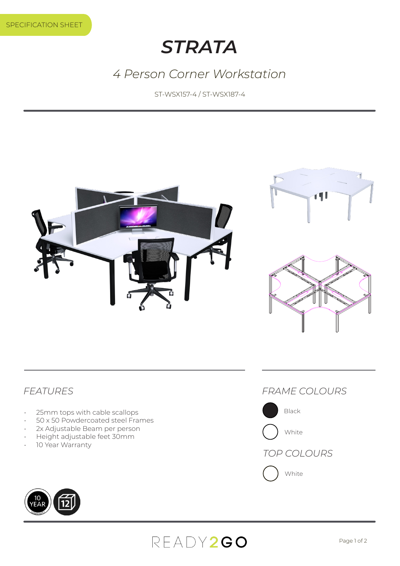## *STRATA*

## *4 Person Corner Workstation*

ST-WSX157-4 / ST-WSX187-4



10 Year Warranty



White